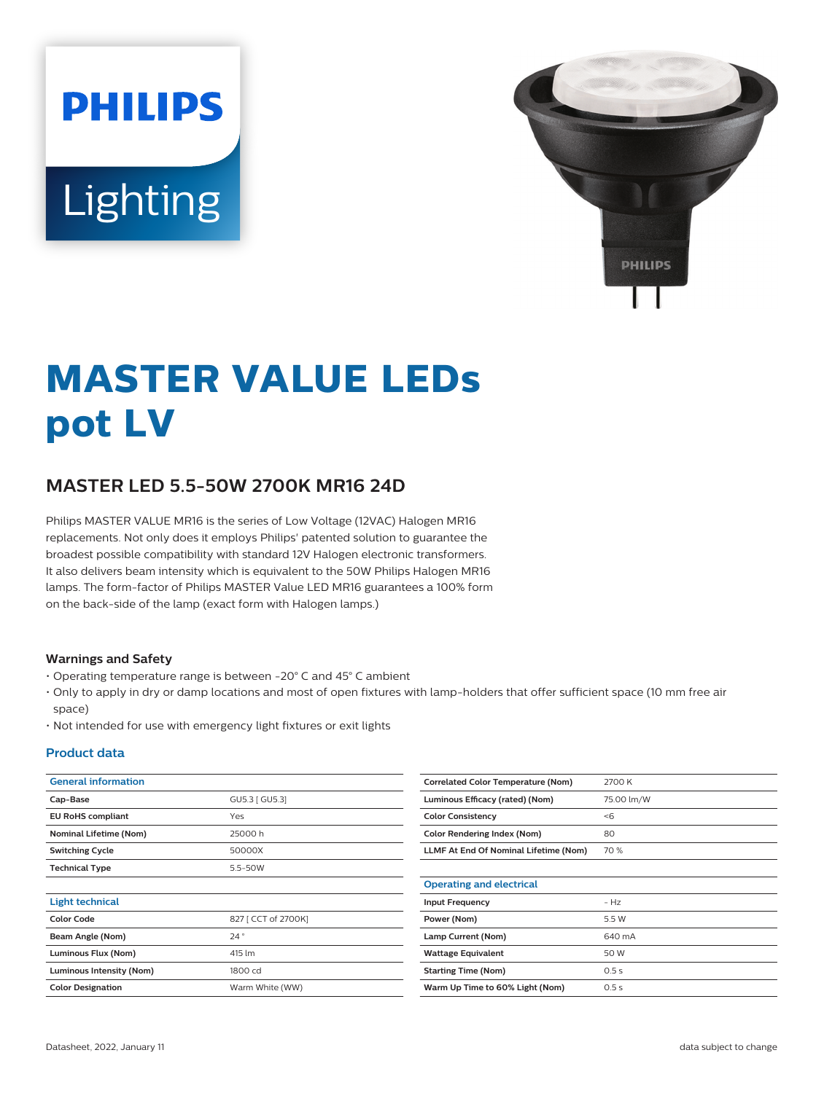# **PHILIPS** Lighting



# **MASTER VALUE LEDs pot LV**

# **MASTER LED 5.5-50W 2700K MR16 24D**

Philips MASTER VALUE MR16 is the series of Low Voltage (12VAC) Halogen MR16 replacements. Not only does it employs Philips' patented solution to guarantee the broadest possible compatibility with standard 12V Halogen electronic transformers. It also delivers beam intensity which is equivalent to the 50W Philips Halogen MR16 lamps. The form-factor of Philips MASTER Value LED MR16 guarantees a 100% form on the back-side of the lamp (exact form with Halogen lamps.)

#### **Warnings and Safety**

- Operating temperature range is between -20° C and 45° C ambient
- Only to apply in dry or damp locations and most of open fixtures with lamp-holders that offer sufficient space (10 mm free air space)
- Not intended for use with emergency light fixtures or exit lights

#### **Product data**

| <b>General information</b>    |                     | <b>Correlated Color Temperature (Nom)</b> | 2700 K     |
|-------------------------------|---------------------|-------------------------------------------|------------|
| Cap-Base                      | GU5.3 [ GU5.3]      | Luminous Efficacy (rated) (Nom)           | 75.00 lm/W |
| <b>EU RoHS compliant</b>      | Yes                 | <b>Color Consistency</b>                  | < 6        |
| <b>Nominal Lifetime (Nom)</b> | 25000h              | <b>Color Rendering Index (Nom)</b>        | 80         |
| <b>Switching Cycle</b>        | 50000X              | LLMF At End Of Nominal Lifetime (Nom)     | 70 %       |
| <b>Technical Type</b>         | 5.5-50W             |                                           |            |
|                               |                     | <b>Operating and electrical</b>           |            |
| <b>Light technical</b>        |                     | <b>Input Frequency</b>                    | $- Hz$     |
| <b>Color Code</b>             | 827 [ CCT of 2700K] | Power (Nom)                               | 5.5 W      |
| Beam Angle (Nom)              | 24°                 | Lamp Current (Nom)                        | 640 mA     |
| Luminous Flux (Nom)           | 415 lm              | <b>Wattage Equivalent</b>                 | 50 W       |
| Luminous Intensity (Nom)      | 1800 cd             | <b>Starting Time (Nom)</b>                | 0.5s       |
| <b>Color Designation</b>      | Warm White (WW)     | Warm Up Time to 60% Light (Nom)           | 0.5 s      |
|                               |                     |                                           |            |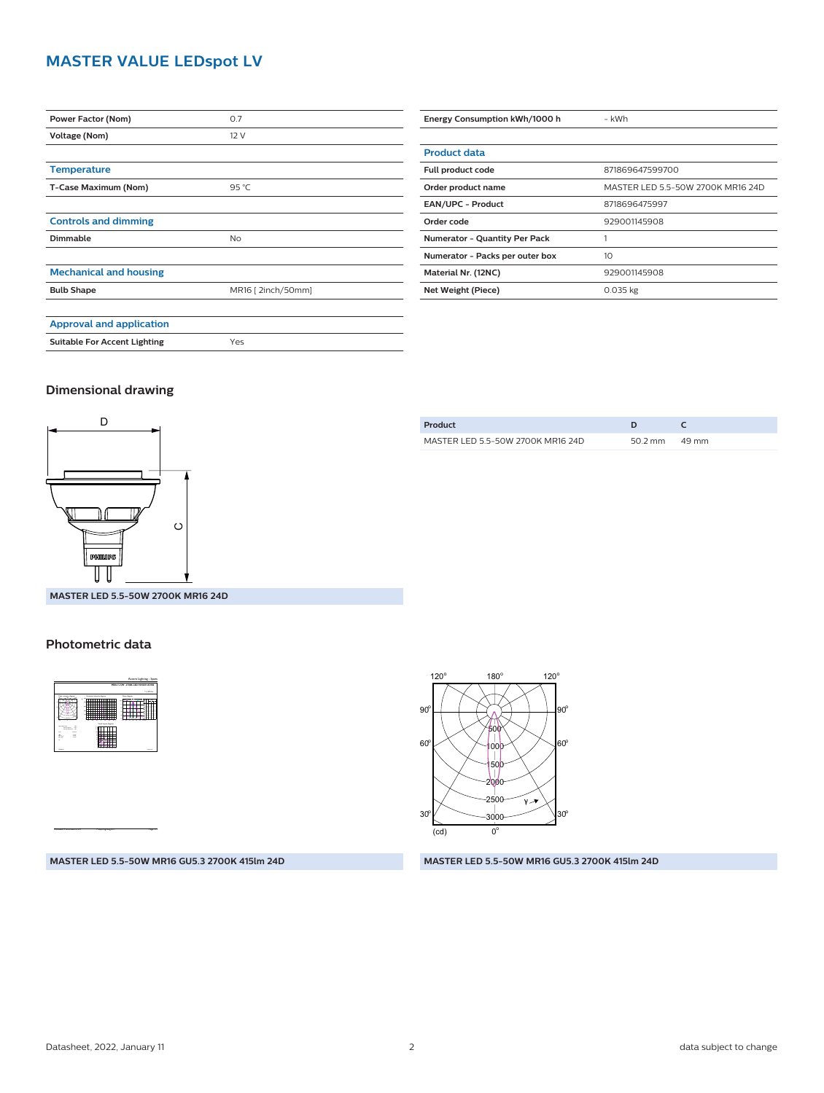## **MASTER VALUE LEDspot LV**

| Power Factor (Nom)                  | 0.7               |  |
|-------------------------------------|-------------------|--|
| Voltage (Nom)                       | 12V               |  |
|                                     |                   |  |
| <b>Temperature</b>                  |                   |  |
| T-Case Maximum (Nom)                | 95 °C             |  |
|                                     |                   |  |
| <b>Controls and dimming</b>         |                   |  |
| Dimmable                            | <b>No</b>         |  |
|                                     |                   |  |
| <b>Mechanical and housing</b>       |                   |  |
| <b>Bulb Shape</b>                   | MR16 [2inch/50mm] |  |
|                                     |                   |  |
| <b>Approval and application</b>     |                   |  |
| <b>Suitable For Accent Lighting</b> | Yes               |  |

| Energy Consumption kWh/1000 h        | - kWh                             |  |
|--------------------------------------|-----------------------------------|--|
|                                      |                                   |  |
| <b>Product data</b>                  |                                   |  |
| Full product code                    | 871869647599700                   |  |
| Order product name                   | MASTER LED 5.5-50W 2700K MR16 24D |  |
| <b>EAN/UPC - Product</b>             | 8718696475997                     |  |
| Order code                           | 929001145908                      |  |
| <b>Numerator - Quantity Per Pack</b> |                                   |  |
| Numerator - Packs per outer box      | 10                                |  |
| Material Nr. (12NC)                  | 929001145908                      |  |
| Net Weight (Piece)                   | 0.035 kg                          |  |

#### **Dimensional drawing**



**MASTER LED 5.5-50W 2700K MR16 24D**

#### **Photometric data**



CalcuLuX Photometrics 4.5 Philips Lighting B.V. Page: 1/1

**MASTER LED 5.5-50W MR16 GU5.3 2700K 415lm 24D**

| Product                           |         |       |
|-----------------------------------|---------|-------|
| MASTER LED 5.5-50W 2700K MR16 24D | 50.2 mm | 49 mm |



**MASTER LED 5.5-50W MR16 GU5.3 2700K 415lm 24D**